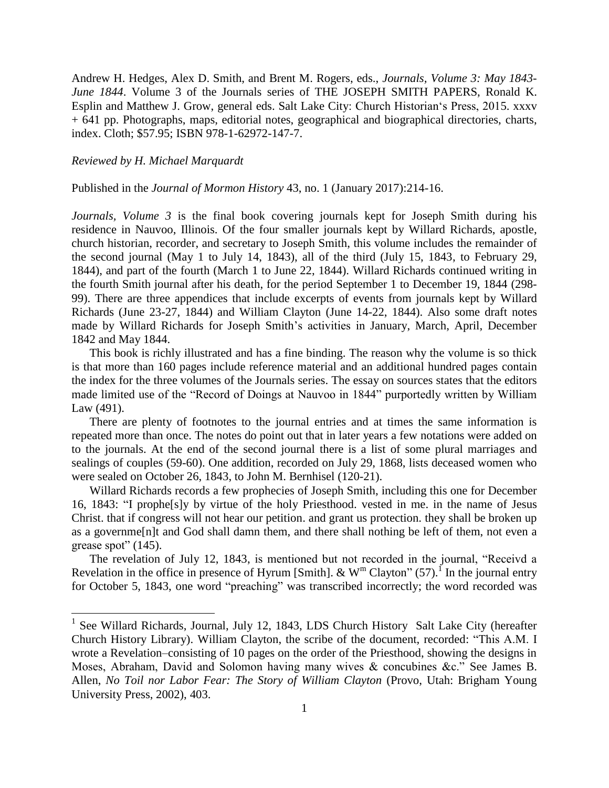Andrew H. Hedges, Alex D. Smith, and Brent M. Rogers, eds., *Journals, Volume 3: May 1843- June 1844*. Volume 3 of the Journals series of THE JOSEPH SMITH PAPERS, Ronald K. Esplin and Matthew J. Grow, general eds. Salt Lake City: Church Historian's Press, 2015. xxxv + 641 pp. Photographs, maps, editorial notes, geographical and biographical directories, charts, index. Cloth; \$57.95; ISBN 978-1-62972-147-7.

## *Reviewed by H. Michael Marquardt*

Published in the *Journal of Mormon History* 43, no. 1 (January 2017):214-16.

*Journals, Volume 3* is the final book covering journals kept for Joseph Smith during his residence in Nauvoo, Illinois. Of the four smaller journals kept by Willard Richards, apostle, church historian, recorder, and secretary to Joseph Smith, this volume includes the remainder of the second journal (May 1 to July 14, 1843), all of the third (July 15, 1843, to February 29, 1844), and part of the fourth (March 1 to June 22, 1844). Willard Richards continued writing in the fourth Smith journal after his death, for the period September 1 to December 19, 1844 (298- 99). There are three appendices that include excerpts of events from journals kept by Willard Richards (June 23-27, 1844) and William Clayton (June 14-22, 1844). Also some draft notes made by Willard Richards for Joseph Smith's activities in January, March, April, December 1842 and May 1844.

This book is richly illustrated and has a fine binding. The reason why the volume is so thick is that more than 160 pages include reference material and an additional hundred pages contain the index for the three volumes of the Journals series. The essay on sources states that the editors made limited use of the "Record of Doings at Nauvoo in 1844" purportedly written by William Law (491).

There are plenty of footnotes to the journal entries and at times the same information is repeated more than once. The notes do point out that in later years a few notations were added on to the journals. At the end of the second journal there is a list of some plural marriages and sealings of couples (59-60). One addition, recorded on July 29, 1868, lists deceased women who were sealed on October 26, 1843, to John M. Bernhisel (120-21).

Willard Richards records a few prophecies of Joseph Smith, including this one for December 16, 1843: "I prophe[s]y by virtue of the holy Priesthood. vested in me. in the name of Jesus Christ. that if congress will not hear our petition. and grant us protection. they shall be broken up as a governme[n]t and God shall damn them, and there shall nothing be left of them, not even a grease spot" (145).

The revelation of July 12, 1843, is mentioned but not recorded in the journal, "Receivd a Revelation in the office in presence of Hyrum [Smith].  $\&$  W<sup>m</sup> Clayton" (57).<sup>I</sup> In the journal entry for October 5, 1843, one word "preaching" was transcribed incorrectly; the word recorded was

<sup>&</sup>lt;sup>1</sup> See Willard Richards, Journal, July 12, 1843, LDS Church History Salt Lake City (hereafter Church History Library). William Clayton, the scribe of the document, recorded: "This A.M. I wrote a Revelation–consisting of 10 pages on the order of the Priesthood, showing the designs in Moses, Abraham, David and Solomon having many wives & concubines &c." See James B. Allen, *No Toil nor Labor Fear: The Story of William Clayton* (Provo, Utah: Brigham Young University Press, 2002), 403.